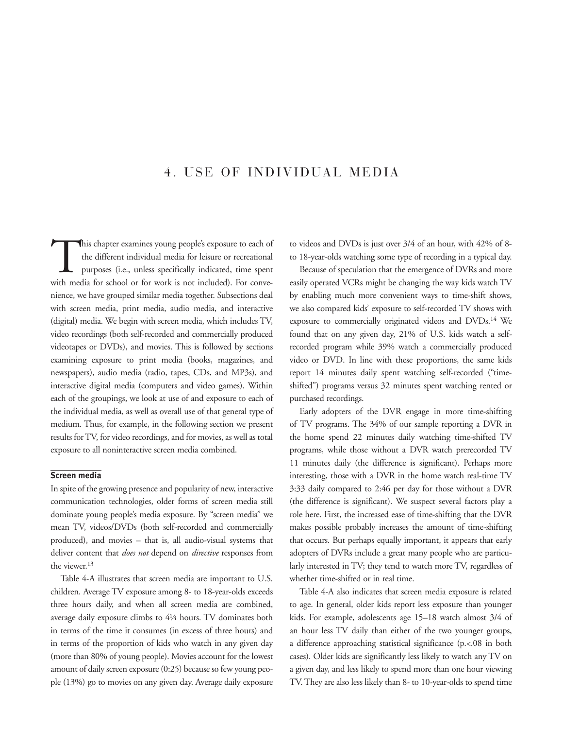# 4. USE OF INDIVIDUAL MEDIA

This chapter examines young people's exposure to each of<br>the different individual media for leisure or recreational<br>purposes (i.e., unless specifically indicated, time spent<br>with media for school or for work is not include the different individual media for leisure or recreational purposes (i.e., unless specifically indicated, time spent with media for school or for work is not included). For convenience, we have grouped similar media together. Subsections deal with screen media, print media, audio media, and interactive (digital) media. We begin with screen media, which includes TV, video recordings (both self-recorded and commercially produced videotapes or DVDs), and movies. This is followed by sections examining exposure to print media (books, magazines, and newspapers), audio media (radio, tapes, CDs, and MP3s), and interactive digital media (computers and video games). Within each of the groupings, we look at use of and exposure to each of the individual media, as well as overall use of that general type of medium. Thus, for example, in the following section we present results for TV, for video recordings, and for movies, as well as total exposure to all noninteractive screen media combined.

# **Screen media**

In spite of the growing presence and popularity of new, interactive communication technologies, older forms of screen media still dominate young people's media exposure. By "screen media" we mean TV, videos/DVDs (both self-recorded and commercially produced), and movies – that is, all audio-visual systems that deliver content that *does not* depend on *directive* responses from the viewer.13

Table 4-A illustrates that screen media are important to U.S. children. Average TV exposure among 8- to 18-year-olds exceeds three hours daily, and when all screen media are combined, average daily exposure climbs to 4¼ hours. TV dominates both in terms of the time it consumes (in excess of three hours) and in terms of the proportion of kids who watch in any given day (more than 80% of young people). Movies account for the lowest amount of daily screen exposure (0:25) because so few young people (13%) go to movies on any given day. Average daily exposure

to videos and DVDs is just over 3/4 of an hour, with 42% of 8 to 18-year-olds watching some type of recording in a typical day.

Because of speculation that the emergence of DVRs and more easily operated VCRs might be changing the way kids watch TV by enabling much more convenient ways to time-shift shows, we also compared kids' exposure to self-recorded TV shows with exposure to commercially originated videos and DVDs.14 We found that on any given day, 21% of U.S. kids watch a selfrecorded program while 39% watch a commercially produced video or DVD. In line with these proportions, the same kids report 14 minutes daily spent watching self-recorded ("timeshifted") programs versus 32 minutes spent watching rented or purchased recordings.

Early adopters of the DVR engage in more time-shifting of TV programs. The 34% of our sample reporting a DVR in the home spend 22 minutes daily watching time-shifted TV programs, while those without a DVR watch prerecorded TV 11 minutes daily (the difference is significant). Perhaps more interesting, those with a DVR in the home watch real-time TV 3:33 daily compared to 2:46 per day for those without a DVR (the difference is significant). We suspect several factors play a role here. First, the increased ease of time-shifting that the DVR makes possible probably increases the amount of time-shifting that occurs. But perhaps equally important, it appears that early adopters of DVRs include a great many people who are particularly interested in TV; they tend to watch more TV, regardless of whether time-shifted or in real time.

Table 4-A also indicates that screen media exposure is related to age. In general, older kids report less exposure than younger kids. For example, adolescents age 15–18 watch almost 3/4 of an hour less TV daily than either of the two younger groups, a difference approaching statistical significance (p.<.08 in both cases). Older kids are significantly less likely to watch any TV on a given day, and less likely to spend more than one hour viewing TV. They are also less likely than 8- to 10-year-olds to spend time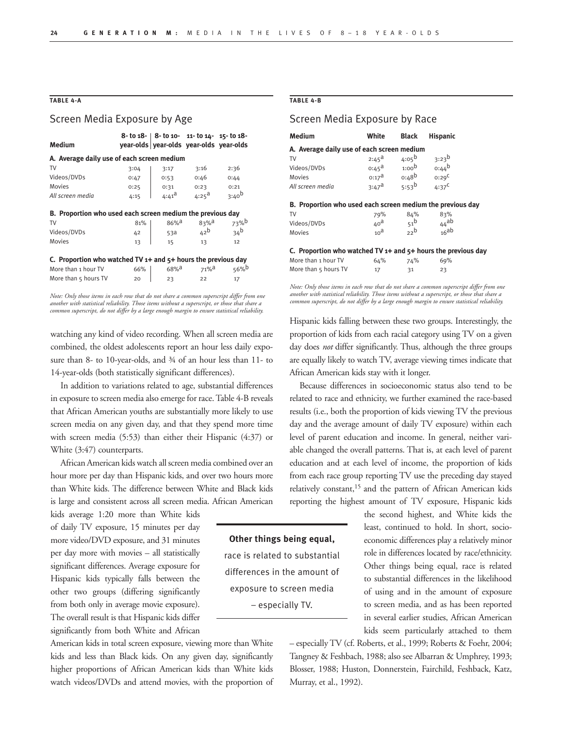## **TABLE 4-A**

## Screen Media Exposure by Age

|                                                                   |        |                     | $8 -$ to $18  8 -$ to $10 - 11 -$ to $14 - 15 -$ to $18 -$ |                 |  |  |  |
|-------------------------------------------------------------------|--------|---------------------|------------------------------------------------------------|-----------------|--|--|--|
| <b>Medium</b>                                                     |        |                     | year-olds vear-olds year-olds year-olds                    |                 |  |  |  |
| A. Average daily use of each screen medium                        |        |                     |                                                            |                 |  |  |  |
| TV                                                                | 3:04   | 3:17                | 3:16                                                       | 2:36            |  |  |  |
| Videos/DVDs                                                       | 0:47   | 0:53                | 0:46                                                       | 0:44            |  |  |  |
| Movies                                                            | 0:25   | 0:31                | 0:23                                                       | 0:21            |  |  |  |
| All screen media                                                  | 4:15   | $4:41^{\text{d}}$   | $4:25^{\text{d}}$                                          | $3:40^{b}$      |  |  |  |
| B. Proportion who used each screen medium the previous day        |        |                     |                                                            |                 |  |  |  |
| TV                                                                | 81%    | $86\%$ <sup>a</sup> | $83%$ <sup>d</sup>                                         | 73%b            |  |  |  |
| Videos/DVDs                                                       | 42     | 53a                 | 42 <sup>b</sup>                                            | 34 <sup>b</sup> |  |  |  |
| Movies                                                            | 13     | 15                  | 13                                                         | 12              |  |  |  |
| C. Proportion who watched TV $1+$ and $5+$ hours the previous day |        |                     |                                                            |                 |  |  |  |
| More than 1 hour TV                                               | $66\%$ | $68\%$ <sup>a</sup> | $71\%$ <sup>a</sup>                                        | 56%b            |  |  |  |
| More than 5 hours TV                                              | 20     | 23                  | 22                                                         | 17              |  |  |  |

*Note: Only those items in each row that do not share a common superscript differ from one another with statistical reliability. Those items without a superscript, or those that share a common superscript, do not differ by a large enough margin to ensure statistical reliability.* 

watching any kind of video recording. When all screen media are combined, the oldest adolescents report an hour less daily exposure than 8- to 10-year-olds, and ¾ of an hour less than 11- to 14-year-olds (both statistically significant differences).

In addition to variations related to age, substantial differences in exposure to screen media also emerge for race. Table 4-B reveals that African American youths are substantially more likely to use screen media on any given day, and that they spend more time with screen media (5:53) than either their Hispanic (4:37) or White (3:47) counterparts.

African American kids watch all screen media combined over an hour more per day than Hispanic kids, and over two hours more than White kids. The difference between White and Black kids is large and consistent across all screen media. African American

kids average 1:20 more than White kids of daily TV exposure, 15 minutes per day more video/DVD exposure, and 31 minutes per day more with movies – all statistically significant differences. Average exposure for Hispanic kids typically falls between the other two groups (differing significantly from both only in average movie exposure). The overall result is that Hispanic kids differ significantly from both White and African

American kids in total screen exposure, viewing more than White kids and less than Black kids. On any given day, significantly higher proportions of African American kids than White kids watch videos/DVDs and attend movies, with the proportion of

#### **TABLE 4-B**

| Screen Media Exposure by Race                                     |                 |                                                                                                       |                 |  |
|-------------------------------------------------------------------|-----------------|-------------------------------------------------------------------------------------------------------|-----------------|--|
| <b>Medium</b>                                                     | White           | <b>Black</b>                                                                                          | <b>Hispanic</b> |  |
| A. Average daily use of each screen medium                        |                 |                                                                                                       |                 |  |
| TV                                                                |                 | $2.45^{\circ}$ $4.05^{\circ}$ $3.23^{\circ}$<br>0.45 <sup>a</sup> 1.00 <sup>b</sup> 0.44 <sup>b</sup> |                 |  |
| Videos/DVDs                                                       |                 |                                                                                                       |                 |  |
| Movies                                                            |                 | $0:17^a$ $0:48^b$ $0:29^c$                                                                            |                 |  |
| All screen media                                                  |                 | 3:47 <sup>a</sup> 5:53 <sup>b</sup>                                                                   | $4:37^C$        |  |
| B. Proportion who used each screen medium the previous day        |                 |                                                                                                       |                 |  |
| TV                                                                | 79%             | 84%                                                                                                   | 83%             |  |
| Videos/DVDs                                                       | 40 <sup>a</sup> | 51 <sup>b</sup>                                                                                       | $44$ ab         |  |
| <b>Movies</b>                                                     | 10 <sup>d</sup> | 22b                                                                                                   | 16ab            |  |
| C. Proportion who watched TV $1+$ and $5+$ hours the previous day |                 |                                                                                                       |                 |  |
| More than 1 hour TV                                               | 64%             | 74%                                                                                                   | 69%             |  |
| More than 5 hours TV                                              | 17              | 31                                                                                                    | 23              |  |

*Note: Only those items in each row that do not share a common superscript differ from one another with statistical reliability. Those items without a superscript, or those that share a common superscript, do not differ by a large enough margin to ensure statistical reliability.* 

Hispanic kids falling between these two groups. Interestingly, the proportion of kids from each racial category using TV on a given day does *not* differ significantly. Thus, although the three groups are equally likely to watch TV, average viewing times indicate that African American kids stay with it longer.

Because differences in socioeconomic status also tend to be related to race and ethnicity, we further examined the race-based results (i.e., both the proportion of kids viewing TV the previous day and the average amount of daily TV exposure) within each level of parent education and income. In general, neither variable changed the overall patterns. That is, at each level of parent education and at each level of income, the proportion of kids from each race group reporting TV use the preceding day stayed relatively constant,<sup>15</sup> and the pattern of African American kids reporting the highest amount of TV exposure, Hispanic kids

> the second highest, and White kids the least, continued to hold. In short, socioeconomic differences play a relatively minor role in differences located by race/ethnicity. Other things being equal, race is related to substantial differences in the likelihood of using and in the amount of exposure to screen media, and as has been reported in several earlier studies, African American kids seem particularly attached to them

– especially TV (cf. Roberts, et al., 1999; Roberts & Foehr, 2004; Tangney & Feshbach, 1988; also see Albarran & Umphrey, 1993; Blosser, 1988; Huston, Donnerstein, Fairchild, Feshback, Katz, Murray, et al., 1992).

**Other things being equal,**  race is related to substantial differences in the amount of

# exposure to screen media – especially TV.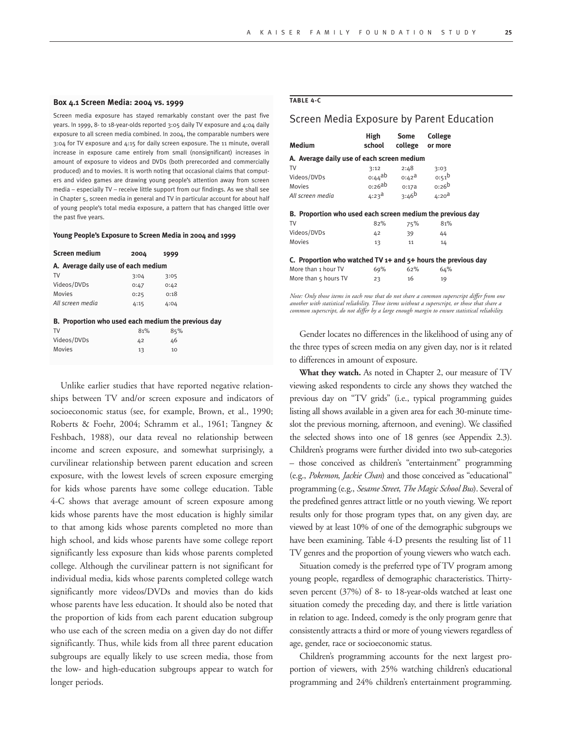#### **Box 4.1 Screen Media: 2004 vs. 1999**

Screen media exposure has stayed remarkably constant over the past five years. In 1999, 8- to 18-year-olds reported 3:05 daily TV exposure and 4:04 daily exposure to all screen media combined. In 2004, the comparable numbers were 3:04 for TV exposure and 4:15 for daily screen exposure. The 11 minute, overall increase in exposure came entirely from small (nonsignificant) increases in amount of exposure to videos and DVDs (both prerecorded and commercially produced) and to movies. It is worth noting that occasional claims that computers and video games are drawing young people's attention away from screen media – especially TV – receive little support from our findings. As we shall see in Chapter 5, screen media in general and TV in particular account for about half of young people's total media exposure, a pattern that has changed little over the past five years.

#### **Young People's Exposure to Screen Media in 2004 and 1999**

| <b>Screen medium</b>                                | 2004 | 1999 |  |  |  |  |  |  |
|-----------------------------------------------------|------|------|--|--|--|--|--|--|
| A. Average daily use of each medium                 |      |      |  |  |  |  |  |  |
| TV                                                  | 3:04 | 3:05 |  |  |  |  |  |  |
| Videos/DVDs                                         | 0:47 | 0:42 |  |  |  |  |  |  |
| Movies                                              | 0:25 | 0:18 |  |  |  |  |  |  |
| All screen media                                    | 4:15 | 4:04 |  |  |  |  |  |  |
| B. Proportion who used each medium the previous day |      |      |  |  |  |  |  |  |
| TV                                                  | 81%  | 85%  |  |  |  |  |  |  |
| Videos/DVDs                                         | 42   | 46   |  |  |  |  |  |  |
| Movies                                              | 13   | 10   |  |  |  |  |  |  |

Unlike earlier studies that have reported negative relationships between TV and/or screen exposure and indicators of socioeconomic status (see, for example, Brown, et al., 1990; Roberts & Foehr, 2004; Schramm et al., 1961; Tangney & Feshbach, 1988), our data reveal no relationship between income and screen exposure, and somewhat surprisingly, a curvilinear relationship between parent education and screen exposure, with the lowest levels of screen exposure emerging for kids whose parents have some college education. Table 4-C shows that average amount of screen exposure among kids whose parents have the most education is highly similar to that among kids whose parents completed no more than high school, and kids whose parents have some college report significantly less exposure than kids whose parents completed college. Although the curvilinear pattern is not significant for individual media, kids whose parents completed college watch significantly more videos/DVDs and movies than do kids whose parents have less education. It should also be noted that the proportion of kids from each parent education subgroup who use each of the screen media on a given day do not differ significantly. Thus, while kids from all three parent education subgroups are equally likely to use screen media, those from the low- and high-education subgroups appear to watch for longer periods.

#### **TABLE 4-C**

## Screen Media Exposure by Parent Education

| Medium                                                            | High<br>school     | Some<br>college     | <b>College</b><br>or more |  |
|-------------------------------------------------------------------|--------------------|---------------------|---------------------------|--|
| A. Average daily use of each screen medium                        |                    |                     |                           |  |
| TV                                                                | 3:12               | 2:48                | 3:03                      |  |
| Videos/DVDs                                                       | o:44 <sup>ab</sup> | $0:42^{\mathsf{a}}$ | $0:51^{\circ}$            |  |
| Movies                                                            | 0:26ab             | 0:17a               | $0:26^{b}$                |  |
| All screen media                                                  | $4:23^{\text{d}}$  | $3:46^{b}$          | 4:20 <sup>d</sup>         |  |
| B. Proportion who used each screen medium the previous day        |                    |                     |                           |  |
| TV                                                                | 82%                | 75%                 | 81%                       |  |
| Videos/DVDs                                                       | 42                 | 39                  | 44                        |  |
| <b>Movies</b>                                                     | 13                 | 11                  | 14                        |  |
| C. Proportion who watched TV $1+$ and $5+$ hours the previous day |                    |                     |                           |  |
| More than 1 hour TV                                               | 69%                | 62%                 | 64%                       |  |
| More than 5 hours TV                                              | 23                 | 16                  | 19                        |  |

*Note: Only those items in each row that do not share a common superscript differ from one another with statistical reliability. Those items without a superscript, or those that share a common superscript, do not differ by a large enough margin to ensure statistical reliability.* 

Gender locates no differences in the likelihood of using any of the three types of screen media on any given day, nor is it related to differences in amount of exposure.

**What they watch.** As noted in Chapter 2, our measure of TV viewing asked respondents to circle any shows they watched the previous day on "TV grids" (i.e., typical programming guides listing all shows available in a given area for each 30-minute timeslot the previous morning, afternoon, and evening). We classified the selected shows into one of 18 genres (see Appendix 2.3). Children's programs were further divided into two sub-categories – those conceived as children's "entertainment" programming (e.g., *Pokemon*, *Jackie Chan*) and those conceived as "educational" programming (e.g., *Sesame Street*, *The Magic School Bus*). Several of the predefined genres attract little or no youth viewing. We report results only for those program types that, on any given day, are viewed by at least 10% of one of the demographic subgroups we have been examining. Table 4-D presents the resulting list of 11 TV genres and the proportion of young viewers who watch each.

Situation comedy is the preferred type of TV program among young people, regardless of demographic characteristics. Thirtyseven percent (37%) of 8- to 18-year-olds watched at least one situation comedy the preceding day, and there is little variation in relation to age. Indeed, comedy is the only program genre that consistently attracts a third or more of young viewers regardless of age, gender, race or socioeconomic status.

Children's programming accounts for the next largest proportion of viewers, with 25% watching children's educational programming and 24% children's entertainment programming.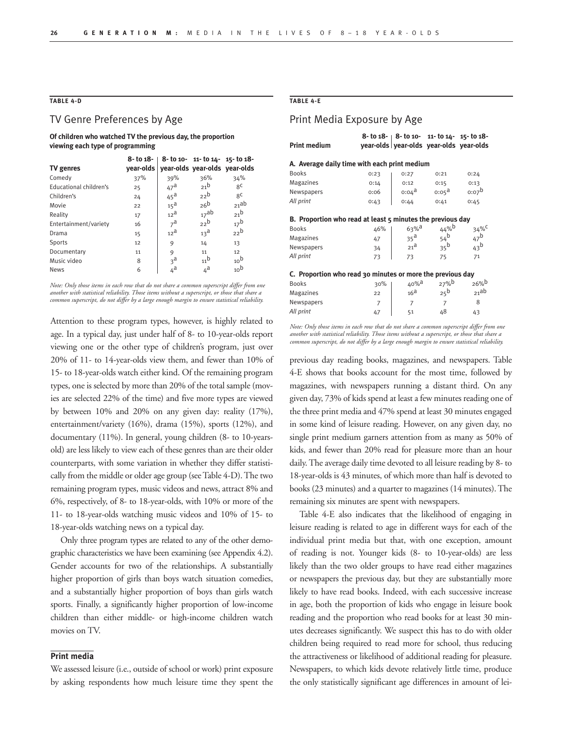# **TABLE 4-D**

## TV Genre Preferences by Age

**Of children who watched TV the previous day, the proportion viewing each type of programming** 

|                        | 8- to 18- |                               | 8- to 10- 11- to 14- 15- to 18- |                 |
|------------------------|-----------|-------------------------------|---------------------------------|-----------------|
| <b>TV</b> genres       | vear-olds | year-olds year-olds year-olds |                                 |                 |
| Comedy                 | 37%       | 39%                           | 36%                             | 34%             |
| Educational children's | 25        | $47^{\mathrm{a}}$             | 21 <sup>b</sup>                 | 8 <sup>C</sup>  |
| Children's             | 24        | $45^{\text{a}}$               | 22 <sup>b</sup>                 | $R^C$           |
| Movie                  | 22        | 15 <sup>d</sup>               | 26 <sup>b</sup>                 | 21ab            |
| Reality                | 17        | 12 <sup>a</sup>               | 17ab                            | 21 <sup>b</sup> |
| Entertainment/variety  | 16        | $7^{\mathsf{a}}$              | 22 <sup>b</sup>                 | 17 <sup>b</sup> |
| Drama                  | 15        | 12 <sup>a</sup>               | 13 <sup>d</sup>                 | 22 <sup>b</sup> |
| Sports                 | 12        | 9                             | 14                              | 13              |
| Documentary            | 11        | 9                             | 11                              | 12              |
| Music video            | 8         | 3 <sup>a</sup>                | 11 <sup>b</sup>                 | 10 <sup>b</sup> |
| <b>News</b>            | 6         | $4^{\mathsf{a}}$              | $4^a$                           | 10 <sup>b</sup> |

*Note: Only those items in each row that do not share a common superscript differ from one another with statistical reliability. Those items without a superscript, or those that share a common superscript, do not differ by a large enough margin to ensure statistical reliability.* 

Attention to these program types, however, is highly related to age. In a typical day, just under half of 8- to 10-year-olds report viewing one or the other type of children's program, just over 20% of 11- to 14-year-olds view them, and fewer than 10% of 15- to 18-year-olds watch either kind. Of the remaining program types, one is selected by more than 20% of the total sample (movies are selected 22% of the time) and five more types are viewed by between 10% and 20% on any given day: reality (17%), entertainment/variety (16%), drama (15%), sports (12%), and documentary (11%). In general, young children (8- to 10-yearsold) are less likely to view each of these genres than are their older counterparts, with some variation in whether they differ statistically from the middle or older age group (see Table 4-D). The two remaining program types, music videos and news, attract 8% and 6%, respectively, of 8- to 18-year-olds, with 10% or more of the 11- to 18-year-olds watching music videos and 10% of 15- to 18-year-olds watching news on a typical day.

Only three program types are related to any of the other demographic characteristics we have been examining (see Appendix 4.2). Gender accounts for two of the relationships. A substantially higher proportion of girls than boys watch situation comedies, and a substantially higher proportion of boys than girls watch sports. Finally, a significantly higher proportion of low-income children than either middle- or high-income children watch movies on TV.

#### **Print media**

We assessed leisure (i.e., outside of school or work) print exposure by asking respondents how much leisure time they spent the

#### **TABLE 4-E**

## Print Media Exposure by Age

| <b>Print medium</b>                                        |                | $8 - 10$ 18 - $8 - 10$ 10 - 11 - 10 14 - 15 - 10 18 -<br>year-olds vear-olds year-olds year-olds |                    |                 |  |
|------------------------------------------------------------|----------------|--------------------------------------------------------------------------------------------------|--------------------|-----------------|--|
|                                                            |                |                                                                                                  |                    |                 |  |
| A. Average daily time with each print medium               |                |                                                                                                  |                    |                 |  |
| <b>Books</b>                                               | 0:23           | 0:27                                                                                             | 0:21               | 0:24            |  |
| Magazines                                                  | 0:14           | 0:12                                                                                             | 0:15               | 0:13            |  |
| Newspapers                                                 | 0:06           | o:04 <sup>a</sup>                                                                                | 0:05 <sup>a</sup>  | $0:07^b$        |  |
| All print                                                  | 0:43           | 0:44                                                                                             | 0:41               | 0:45            |  |
| B. Proportion who read at least 5 minutes the previous day |                |                                                                                                  |                    |                 |  |
| <b>Books</b>                                               | 46%            | $63%$ <sup>a</sup>                                                                               | 44%b               | 34%C            |  |
| Magazines                                                  | 47             | $35^{\text{a}}$                                                                                  | $54^{\mathrm{b}}$  | $47^{\rm b}$    |  |
| Newspapers                                                 | 34             | $21^{\text{a}}$                                                                                  | 35 <sup>b</sup>    | 43 <sup>b</sup> |  |
| All print                                                  | 73             | 73                                                                                               | 75                 | 71              |  |
| C. Proportion who read 30 minutes or more the previous day |                |                                                                                                  |                    |                 |  |
| <b>Books</b>                                               | 30%            | 40% <sup>a</sup>                                                                                 | $27%$ <sup>b</sup> | $26%^{b}$       |  |
| Magazines                                                  | 22             | 16 <sup>d</sup>                                                                                  | 25 <sup>b</sup>    | 21ab            |  |
| Newspapers                                                 | $\overline{7}$ | $\overline{7}$                                                                                   | $\overline{7}$     | 8               |  |
| All print                                                  | 47             | 51                                                                                               | 48                 | 43              |  |

*Note: Only those items in each row that do not share a common superscript differ from one another with statistical reliability. Those items without a superscript, or those that share a common superscript, do not differ by a large enough margin to ensure statistical reliability.* 

previous day reading books, magazines, and newspapers. Table 4-E shows that books account for the most time, followed by magazines, with newspapers running a distant third. On any given day, 73% of kids spend at least a few minutes reading one of the three print media and 47% spend at least 30 minutes engaged in some kind of leisure reading. However, on any given day, no single print medium garners attention from as many as 50% of kids, and fewer than 20% read for pleasure more than an hour daily. The average daily time devoted to all leisure reading by 8- to 18-year-olds is 43 minutes, of which more than half is devoted to books (23 minutes) and a quarter to magazines (14 minutes). The remaining six minutes are spent with newspapers.

Table 4-E also indicates that the likelihood of engaging in leisure reading is related to age in different ways for each of the individual print media but that, with one exception, amount of reading is not. Younger kids (8- to 10-year-olds) are less likely than the two older groups to have read either magazines or newspapers the previous day, but they are substantially more likely to have read books. Indeed, with each successive increase in age, both the proportion of kids who engage in leisure book reading and the proportion who read books for at least 30 minutes decreases significantly. We suspect this has to do with older children being required to read more for school, thus reducing the attractiveness or likelihood of additional reading for pleasure. Newspapers, to which kids devote relatively little time, produce the only statistically significant age differences in amount of lei-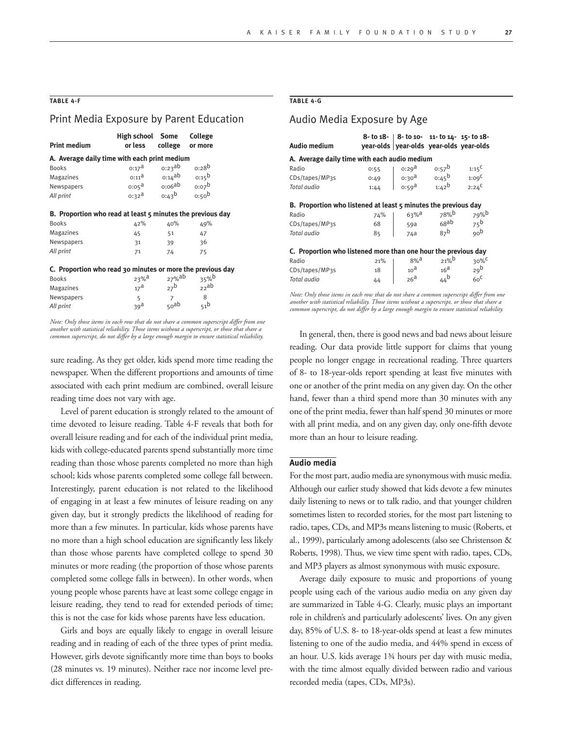#### **TABLE 4-F**

# Print Media Exposure by Parent Education

| <b>Print medium</b>                                        | High school Some<br>or less                                |                            | College<br>college or more             |  |  |  |  |
|------------------------------------------------------------|------------------------------------------------------------|----------------------------|----------------------------------------|--|--|--|--|
| A. Average daily time with each print medium               |                                                            |                            |                                        |  |  |  |  |
| <b>Books</b>                                               | $0:17^{\text{a}}$                                          | $0:23$ ab                  | $0:28^{b}$                             |  |  |  |  |
| Magazines                                                  | $0:11^{\mathsf{d}}$                                        | $0:14$ ab                  | $0:15^{\circ}$                         |  |  |  |  |
| Newspapers                                                 | $0:05^{\text{a}}$                                          | 0:06ab                     | $0:07^b$                               |  |  |  |  |
| All print                                                  |                                                            | $0.32^a$ $0.43^b$ $0.50^b$ |                                        |  |  |  |  |
|                                                            | B. Proportion who read at least 5 minutes the previous day |                            |                                        |  |  |  |  |
| <b>Books</b>                                               | 42%                                                        | 40%                        | 49%                                    |  |  |  |  |
| Magazines                                                  | 45                                                         | 51                         | 47                                     |  |  |  |  |
| Newspapers                                                 | 31                                                         | 39                         | 36                                     |  |  |  |  |
| All print                                                  | 71                                                         | 74                         | 75                                     |  |  |  |  |
| C. Proportion who read 30 minutes or more the previous day |                                                            |                            |                                        |  |  |  |  |
| <b>Books</b>                                               | $23%$ <sup>a</sup>                                         |                            | $27%$ <sup>ab</sup> $35%$ <sup>b</sup> |  |  |  |  |
| Magazines                                                  | 17 <sup>d</sup>                                            |                            | $27^b$ $22^{ab}$                       |  |  |  |  |

Newspapers  $\begin{array}{ccc} 5 & 7 & 8 \\ All print & 39^a & \frac{1}{2} \end{array}$ *All print* 39<sup>a</sup> 50<sup>ab</sup> 51<sup>b</sup> *Note: Only those items in each row that do not share a common superscript differ from one another with statistical reliability. Those items without a superscript, or those that share a* 

*common superscript, do not differ by a large enough margin to ensure statistical reliability.* 

sure reading. As they get older, kids spend more time reading the newspaper. When the different proportions and amounts of time associated with each print medium are combined, overall leisure reading time does not vary with age.

Level of parent education is strongly related to the amount of time devoted to leisure reading. Table 4-F reveals that both for overall leisure reading and for each of the individual print media, kids with college-educated parents spend substantially more time reading than those whose parents completed no more than high school; kids whose parents completed some college fall between. Interestingly, parent education is not related to the likelihood of engaging in at least a few minutes of leisure reading on any given day, but it strongly predicts the likelihood of reading for more than a few minutes. In particular, kids whose parents have no more than a high school education are significantly less likely than those whose parents have completed college to spend 30 minutes or more reading (the proportion of those whose parents completed some college falls in between). In other words, when young people whose parents have at least some college engage in leisure reading, they tend to read for extended periods of time; this is not the case for kids whose parents have less education.

Girls and boys are equally likely to engage in overall leisure reading and in reading of each of the three types of print media. However, girls devote significantly more time than boys to books (28 minutes vs. 19 minutes). Neither race nor income level predict differences in reading.

## **TABLE 4-G**

# Audio Media Exposure by Age

| Audio medium                                                   |      | 8- to 18-   8- to 10- 11- to 14- 15- to 18-<br>vear-olds vear-olds vear-olds vear-olds |                 |                   |
|----------------------------------------------------------------|------|----------------------------------------------------------------------------------------|-----------------|-------------------|
| A. Average daily time with each audio medium                   |      |                                                                                        |                 |                   |
| Radio                                                          | 0:55 | $\begin{vmatrix} 0:29^a & 0:57^b \\ 0:30^a & 0:45^b \end{vmatrix}$                     | $0:57^b$        | $1:15^C$          |
| CDs/tapes/MP3s                                                 | 0:49 |                                                                                        |                 | 1:09 <sup>C</sup> |
| Total audio                                                    | 1:44 | 0:59 <sup>a</sup> 1:42 <sup>b</sup>                                                    |                 | $2:24^C$          |
| B. Proportion who listened at least 5 minutes the previous day |      |                                                                                        |                 |                   |
| Radio                                                          | 74%  | $63\%$ <sup>a</sup>                                                                    | 78%b            | 79%b              |
| CDs/tapes/MP3s                                                 | 68   | 59a                                                                                    | 68ab            | $75^{\circ}$      |
| Total audio                                                    | 85   | 74a                                                                                    | 87 <sup>b</sup> | $q_0$             |
| C. Proportion who listened more than one hour the previous day |      |                                                                                        |                 |                   |
| Radio                                                          | 21%  | $8%$ a                                                                                 | 21%             | $30\%$            |
| CDs/tapes/MP3s                                                 | 18   | 10 <sup>d</sup>                                                                        | 16 <sup>d</sup> | 29 <sup>b</sup>   |
| Total audio                                                    | 44   | 26 <sup>d</sup>                                                                        | 44 <sup>b</sup> | 60 <sup>C</sup>   |

*Note: Only those items in each row that do not share a common superscript differ from one another with statistical reliability. Those items without a superscript, or those that share a common superscript, do not differ by a large enough margin to ensure statistical reliability.* 

In general, then, there is good news and bad news about leisure reading. Our data provide little support for claims that young people no longer engage in recreational reading. Three quarters of 8- to 18-year-olds report spending at least five minutes with one or another of the print media on any given day. On the other hand, fewer than a third spend more than 30 minutes with any one of the print media, fewer than half spend 30 minutes or more with all print media, and on any given day, only one-fifth devote more than an hour to leisure reading.

## **Audio media**

For the most part, audio media are synonymous with music media. Although our earlier study showed that kids devote a few minutes daily listening to news or to talk radio, and that younger children sometimes listen to recorded stories, for the most part listening to radio, tapes, CDs, and MP3s means listening to music (Roberts, et al., 1999), particularly among adolescents (also see Christenson & Roberts, 1998). Thus, we view time spent with radio, tapes, CDs, and MP3 players as almost synonymous with music exposure.

Average daily exposure to music and proportions of young people using each of the various audio media on any given day are summarized in Table 4-G. Clearly, music plays an important role in children's and particularly adolescents' lives. On any given day, 85% of U.S. 8- to 18-year-olds spend at least a few minutes listening to one of the audio media, and 44% spend in excess of an hour. U.S. kids average 1¾ hours per day with music media, with the time almost equally divided between radio and various recorded media (tapes, CDs, MP3s).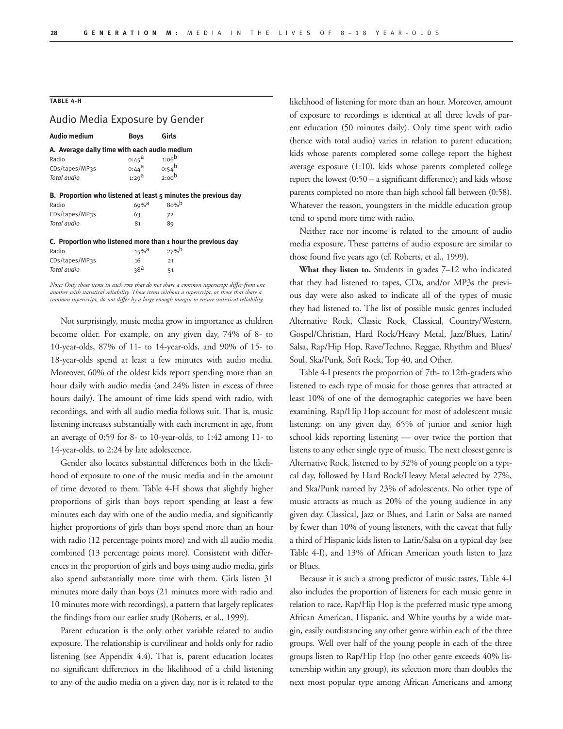#### **TABLE 4-H**

## Audio Media Exposure by Gender

| <b>Audio medium</b>                          | Boys                | Girls                                                          |  |  |  |  |  |
|----------------------------------------------|---------------------|----------------------------------------------------------------|--|--|--|--|--|
| A. Average daily time with each audio medium |                     |                                                                |  |  |  |  |  |
| Radio                                        | $0:45^{\text{a}}$   | $1:06^{b}$                                                     |  |  |  |  |  |
| CDs/tapes/MP3s                               | o:44 <sup>a</sup>   | $0:54^b$                                                       |  |  |  |  |  |
| Total audio                                  | $1:29^a$ $2:00^b$   |                                                                |  |  |  |  |  |
|                                              |                     |                                                                |  |  |  |  |  |
|                                              |                     | B. Proportion who listened at least 5 minutes the previous day |  |  |  |  |  |
| Radio                                        | $69\%$ <sup>a</sup> | 80%                                                            |  |  |  |  |  |
| CDs/tapes/MP3s                               | 63                  | 72                                                             |  |  |  |  |  |
| Total audio                                  | 81                  | 89                                                             |  |  |  |  |  |
|                                              |                     |                                                                |  |  |  |  |  |
|                                              |                     | C. Proportion who listened more than 1 hour the previous day   |  |  |  |  |  |
| Radio                                        | $15\%$ <sup>d</sup> | $27%$ <sup>b</sup>                                             |  |  |  |  |  |
| CDs/tapes/MP3s                               | 16                  | 21                                                             |  |  |  |  |  |
| Total audio                                  | 38 <sup>d</sup>     | 51                                                             |  |  |  |  |  |

*Note: Only those items in each row that do not share a common superscript differ from one another with statistical reliability. Those items without a superscript, or those that share a common superscript, do not differ by a large enough margin to ensure statistical reliability.* 

Not surprisingly, music media grow in importance as children become older. For example, on any given day, 74% of 8- to 10-year-olds, 87% of 11- to 14-year-olds, and 90% of 15- to 18-year-olds spend at least a few minutes with audio media. Moreover, 60% of the oldest kids report spending more than an hour daily with audio media (and 24% listen in excess of three hours daily). The amount of time kids spend with radio, with recordings, and with all audio media follows suit. That is, music listening increases substantially with each increment in age, from an average of 0:59 for 8- to 10-year-olds, to 1:42 among 11- to 14-year-olds, to 2:24 by late adolescence.

Gender also locates substantial differences both in the likelihood of exposure to one of the music media and in the amount of time devoted to them. Table 4-H shows that slightly higher proportions of girls than boys report spending at least a few minutes each day with one of the audio media, and significantly higher proportions of girls than boys spend more than an hour with radio (12 percentage points more) and with all audio media combined (13 percentage points more). Consistent with differences in the proportion of girls and boys using audio media, girls also spend substantially more time with them. Girls listen 31 minutes more daily than boys (21 minutes more with radio and 10 minutes more with recordings), a pattern that largely replicates the findings from our earlier study (Roberts, et al., 1999).

Parent education is the only other variable related to audio exposure. The relationship is curvilinear and holds only for radio listening (see Appendix 4.4). That is, parent education locates no significant differences in the likelihood of a child listening to any of the audio media on a given day, nor is it related to the likelihood of listening for more than an hour. Moreover, amount of exposure to recordings is identical at all three levels of parent education (50 minutes daily). Only time spent with radio (hence with total audio) varies in relation to parent education; kids whose parents completed some college report the highest average exposure (1:10), kids whose parents completed college report the lowest (0:50 – a significant difference); and kids whose parents completed no more than high school fall between (0:58). Whatever the reason, youngsters in the middle education group tend to spend more time with radio.

Neither race nor income is related to the amount of audio media exposure. These patterns of audio exposure are similar to those found five years ago (cf. Roberts, et al., 1999).

**What they listen to.** Students in grades 7–12 who indicated that they had listened to tapes, CDs, and/or MP3s the previous day were also asked to indicate all of the types of music they had listened to. The list of possible music genres included Alternative Rock, Classic Rock, Classical, Country/Western, Gospel/Christian, Hard Rock/Heavy Metal, Jazz/Blues, Latin/ Salsa, Rap/Hip Hop, Rave/Techno, Reggae, Rhythm and Blues/ Soul, Ska/Punk, Soft Rock, Top 40, and Other.

Table 4-I presents the proportion of 7th- to 12th-graders who listened to each type of music for those genres that attracted at least 10% of one of the demographic categories we have been examining. Rap/Hip Hop account for most of adolescent music listening: on any given day, 65% of junior and senior high school kids reporting listening — over twice the portion that listens to any other single type of music. The next closest genre is Alternative Rock, listened to by 32% of young people on a typical day, followed by Hard Rock/Heavy Metal selected by 27%, and Ska/Punk named by 23% of adolescents. No other type of music attracts as much as 20% of the young audience in any given day. Classical, Jazz or Blues, and Latin or Salsa are named by fewer than 10% of young listeners, with the caveat that fully a third of Hispanic kids listen to Latin/Salsa on a typical day (see Table 4-I), and 13% of African American youth listen to Jazz or Blues.

Because it is such a strong predictor of music tastes, Table 4-I also includes the proportion of listeners for each music genre in relation to race. Rap/Hip Hop is the preferred music type among African American, Hispanic, and White youths by a wide margin, easily outdistancing any other genre within each of the three groups. Well over half of the young people in each of the three groups listen to Rap/Hip Hop (no other genre exceeds 40% listenership within any group), its selection more than doubles the next most popular type among African Americans and among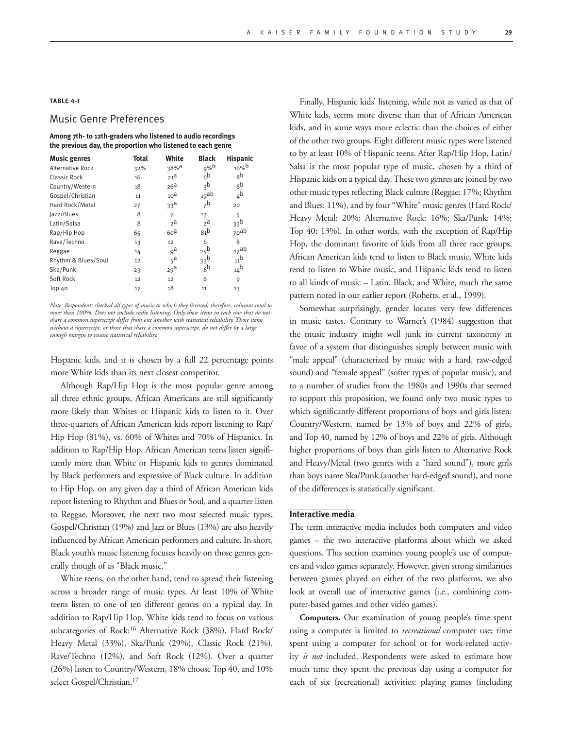## **TABLE 4-I**

## Music Genre Preferences

**Among 7th- to 12th-graders who listened to audio recordings the previous day, the proportion who listened to each genre**

| <b>Music genres</b>     | <b>Total</b> | White            | <b>Black</b>      | <b>Hispanic</b>  |
|-------------------------|--------------|------------------|-------------------|------------------|
| <b>Alternative Rock</b> | 32%          | 38% <sup>a</sup> | $9%$ b            | 16%              |
| Classic Rock            | 16           | $21^{\text{a}}$  | 6 <sup>b</sup>    | gb               |
| Country/Western         | 18           | 26 <sup>d</sup>  | 3 <sup>b</sup>    | 6 <sup>b</sup>   |
| Gospel/Christian        | 11           | 10 <sup>d</sup>  | 19ab              | 4 <sup>b</sup>   |
| Hard Rock/Metal         | 27           | 33 <sup>d</sup>  | 7 <sup>b</sup>    | 20               |
| Jazz/Blues              | 8            | $\overline{7}$   | 13                | 5                |
| Latin/Salsa             | 8            | $2^{\mathsf{a}}$ | $2^a$             | 33 <sup>b</sup>  |
| Rap/Hip Hop             | 65           | 60 <sup>d</sup>  | 81 <sup>b</sup>   | <sub>70</sub> ab |
| Rave/Techno             | 13           | 12               | 6                 | 8                |
| Reggae                  | 14           | 9 <sup>a</sup>   | $24^{\mathrm{b}}$ | 17ab             |
| Rhythm & Blues/Soul     | 12           | $5^a$            | 33 <sup>b</sup>   | 11 <sup>b</sup>  |
| Ska/Punk                | 23           | 29 <sup>d</sup>  | 6 <sup>b</sup>    | 14 <sup>b</sup>  |
| Soft Rock               | 12           | 12               | 6                 | 9                |
| Top 40                  | 17           | 18               | 11                | 13               |

*Note: Respondents checked all types of music to which they listened; therefore, columns total to more than 100%. Does not include radio listening. Only those items in each row that do not share a common superscript differ from one another with statistical reliability. Those items without a superscript, or those that share a common superscript, do not differ by a large enough margin to ensure statistical reliability.* 

Hispanic kids, and it is chosen by a full 22 percentage points more White kids than its next closest competitor.

Although Rap/Hip Hop is the most popular genre among all three ethnic groups, African Americans are still significantly more likely than Whites or Hispanic kids to listen to it. Over three-quarters of African American kids report listening to Rap/ Hip Hop (81%), vs. 60% of Whites and 70% of Hispanics. In addition to Rap/Hip Hop, African American teens listen significantly more than White or Hispanic kids to genres dominated by Black performers and expressive of Black culture. In addition to Hip Hop, on any given day a third of African American kids report listening to Rhythm and Blues or Soul, and a quarter listen to Reggae. Moreover, the next two most selected music types, Gospel/Christian (19%) and Jazz or Blues (13%) are also heavily influenced by African American performers and culture. In short, Black youth's music listening focuses heavily on those genres generally though of as "Black music."

White teens, on the other hand, tend to spread their listening across a broader range of music types. At least 10% of White teens listen to one of ten different genres on a typical day. In addition to Rap/Hip Hop, White kids tend to focus on various subcategories of Rock:16 Alternative Rock (38%), Hard Rock/ Heavy Metal (33%), Ska/Punk (29%), Classic Rock (21%), Rave/Techno (12%), and Soft Rock (12%). Over a quarter (26%) listen to Country/Western, 18% choose Top 40, and 10% select Gospel/Christian.<sup>17</sup>

Finally, Hispanic kids' listening, while not as varied as that of White kids, seems more diverse than that of African American kids, and in some ways more eclectic than the choices of either of the other two groups. Eight different music types were listened to by at least 10% of Hispanic teens. After Rap/Hip Hop, Latin/ Salsa is the most popular type of music, chosen by a third of Hispanic kids on a typical day. These two genres are joined by two other music types reflecting Black culture (Reggae: 17%; Rhythm and Blues: 11%), and by four "White" music genres (Hard Rock/ Heavy Metal: 20%; Alternative Rock: 16%; Ska/Punk: 14%; Top 40: 13%). In other words, with the exception of Rap/Hip Hop, the dominant favorite of kids from all three race groups, African American kids tend to listen to Black music, White kids tend to listen to White music, and Hispanic kids tend to listen to all kinds of music – Latin, Black, and White, much the same pattern noted in our earlier report (Roberts, et al., 1999).

Somewhat surprisingly, gender locates very few differences in music tastes. Contrary to Warner's (1984) suggestion that the music industry might well junk its current taxonomy in favor of a system that distinguishes simply between music with "male appeal" (characterized by music with a hard, raw-edged sound) and "female appeal" (softer types of popular music), and to a number of studies from the 1980s and 1990s that seemed to support this proposition, we found only two music types to which significantly different proportions of boys and girls listen: Country/Western, named by 13% of boys and 22% of girls, and Top 40, named by 12% of boys and 22% of girls. Although higher proportions of boys than girls listen to Alternative Rock and Heavy/Metal (two genres with a "hard sound"), more girls than boys name Ska/Punk (another hard-edged sound), and none of the differences is statistically significant.

#### **Interactive media**

The term interactive media includes both computers and video games – the two interactive platforms about which we asked questions. This section examines young people's use of computers and video games separately. However, given strong similarities between games played on either of the two platforms, we also look at overall use of interactive games (i.e., combining computer-based games and other video games).

**Computers.** Our examination of young people's time spent using a computer is limited to *recreational* computer use; time spent using a computer for school or for work-related activity *is not* included. Respondents were asked to estimate how much time they spent the previous day using a computer for each of six (recreational) activities: playing games (including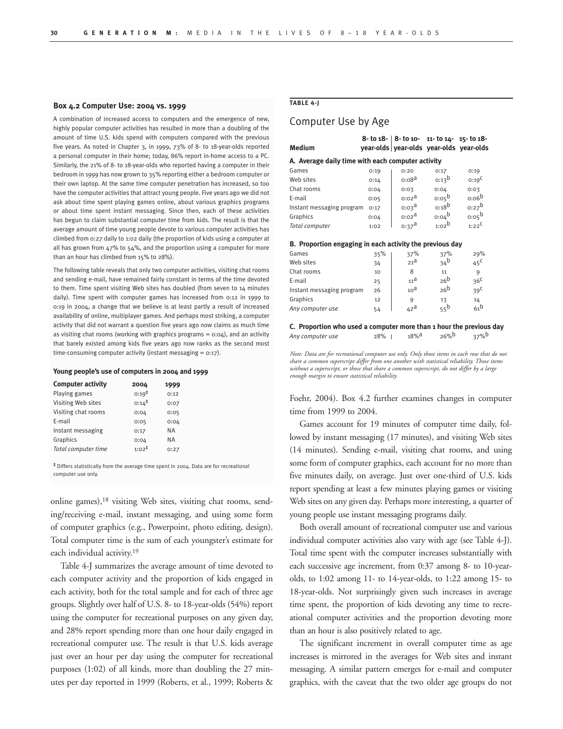#### **Box 4.2 Computer Use: 2004 vs. 1999**

A combination of increased access to computers and the emergence of new, highly popular computer activities has resulted in more than a doubling of the amount of time U.S. kids spend with computers compared with the previous five years. As noted in Chapter 3, in 1999, 73% of 8- to 18-year-olds reported a personal computer in their home; today, 86% report in-home access to a PC. Similarly, the 21% of 8- to 18-year-olds who reported having a computer in their bedroom in 1999 has now grown to 35% reporting either a bedroom computer or their own laptop. At the same time computer penetration has increased, so too have the computer activities that attract young people. Five years ago we did not ask about time spent playing games online, about various graphics programs or about time spent instant messaging. Since then, each of these activities has begun to claim substantial computer time from kids. The result is that the average amount of time young people devote to various computer activities has climbed from 0:27 daily to 1:02 daily (the proportion of kids using a computer at all has grown from 47% to 54%, and the proportion using a computer for more than an hour has climbed from 15% to 28%).

The following table reveals that only two computer activities, visiting chat rooms and sending e-mail, have remained fairly constant in terms of the time devoted to them. Time spent visiting Web sites has doubled (from seven to 14 minutes daily). Time spent with computer games has increased from 0:12 in 1999 to 0:19 in 2004, a change that we believe is at least partly a result of increased availability of online, multiplayer games. And perhaps most striking, a computer activity that did not warrant a question five years ago now claims as much time as visiting chat rooms (working with graphics programs =  $0:04$ ), and an activity that barely existed among kids five years ago now ranks as the second most time-consuming computer activity (instant messaging  $= 0:17$ ).

#### **Young people's use of computers in 2004 and 1999**

| <b>Computer activity</b> | 2004              | 1999 |
|--------------------------|-------------------|------|
| Playing games            | $0:19^{+}$        | 0:12 |
| Visiting Web sites       | $0:14^{\ddagger}$ | 0:07 |
| Visiting chat rooms      | 0:04              | 0:05 |
| E-mail                   | 0:05              | 0:04 |
| Instant messaging        | 0:17              | ΝA   |
| Graphics                 | 0:04              | ΝA   |
| Total computer time      | $1:02^{\ddagger}$ | 0:27 |

‡ Differs statistically from the average time spent in 2004. Data are for recreational computer use only.

online games),<sup>18</sup> visiting Web sites, visiting chat rooms, sending/receiving e-mail, instant messaging, and using some form of computer graphics (e.g., Powerpoint, photo editing, design). Total computer time is the sum of each youngster's estimate for each individual activity.19

Table 4-J summarizes the average amount of time devoted to each computer activity and the proportion of kids engaged in each activity, both for the total sample and for each of three age groups. Slightly over half of U.S. 8- to 18-year-olds (54%) report using the computer for recreational purposes on any given day, and 28% report spending more than one hour daily engaged in recreational computer use. The result is that U.S. kids average just over an hour per day using the computer for recreational purposes (1:02) of all kinds, more than doubling the 27 minutes per day reported in 1999 (Roberts, et al., 1999; Roberts &

#### **TABLE 4-J**

# Computer Use by Age

| <b>Medium</b>                                            |      |                       | 8- to $18 - 8 - 10 - 11 - 10 + 14 - 15 - 10 + 18 - 11$<br>year-olds year-olds year-olds year-olds |                     |  |  |
|----------------------------------------------------------|------|-----------------------|---------------------------------------------------------------------------------------------------|---------------------|--|--|
| A. Average daily time with each computer activity        |      |                       |                                                                                                   |                     |  |  |
| Games                                                    | 0:19 | 0:20                  | 0:17                                                                                              | 0:19                |  |  |
| Web sites                                                | 0:14 | 0:08 <sup>d</sup>     | $0:13^b$                                                                                          | 0:19 <sup>C</sup>   |  |  |
| Chat rooms                                               | 0:04 | 0:03                  | 0:04                                                                                              | 0:03                |  |  |
| E-mail                                                   | 0:05 | $0:02^{\mathsf{d}}$   | 0.05 <sup>b</sup>                                                                                 | 0:06 <sup>b</sup>   |  |  |
| Instant messaging program                                | 0:17 | $0:03^{\overline{d}}$ | $0:18^{\circ}$                                                                                    | $0:27^b$            |  |  |
| Graphics                                                 | 0:04 | $0:02^{\mathsf{d}}$   | 0.04 <sup>b</sup>                                                                                 | $0:05^{\mathsf{b}}$ |  |  |
| Total computer                                           | 1:02 | $0:37^{\text{a}}$     | $1:02^b$                                                                                          | $1:22^C$            |  |  |
| B. Proportion engaging in each activity the previous day |      |                       |                                                                                                   |                     |  |  |
| Games                                                    | 35%  | 37%                   | 37%                                                                                               | 29%                 |  |  |
| Web sites                                                | 34   | $21^{\mathrm{d}}$     | 34 <sup>b</sup>                                                                                   | $45^{\circ}$        |  |  |
| Chat rooms                                               | 10   | 8                     | 11                                                                                                | 9                   |  |  |
| E-mail                                                   | 25   | 11 <sup>d</sup>       | 26 <sup>b</sup>                                                                                   | 36 <sup>C</sup>     |  |  |

Graphics 12 9 13 14<br>
Any computer use 54 42<sup>a</sup> 5<sup>2</sup> *Any computer use* 54 542<sup>a</sup> **C. Proportion who used a computer more than 1 hour the previous day**

Instant messaging program 26  $10^a$   $26^b$   $39^c$ 

*Any computer use* 28% | 18%<sup>a</sup> 26%<sup>b</sup> 37%<sup>b</sup>

*Note: Data are for recreational computer use only. Only those items in each row that do not share a common superscript differ from one another with statistical reliability. Those items without a superscript, or those that share a common superscript, do not differ by a large enough margin to ensure statistical reliability.* 

Foehr, 2004). Box 4.2 further examines changes in computer time from 1999 to 2004.

Games account for 19 minutes of computer time daily, followed by instant messaging (17 minutes), and visiting Web sites (14 minutes). Sending e-mail, visiting chat rooms, and using some form of computer graphics, each account for no more than five minutes daily, on average. Just over one-third of U.S. kids report spending at least a few minutes playing games or visiting Web sites on any given day. Perhaps more interesting, a quarter of young people use instant messaging programs daily.

Both overall amount of recreational computer use and various individual computer activities also vary with age (see Table 4-J). Total time spent with the computer increases substantially with each successive age increment, from 0:37 among 8- to 10-yearolds, to 1:02 among 11- to 14-year-olds, to 1:22 among 15- to 18-year-olds. Not surprisingly given such increases in average time spent, the proportion of kids devoting any time to recreational computer activities and the proportion devoting more than an hour is also positively related to age.

The significant increment in overall computer time as age increases is mirrored in the averages for Web sites and instant messaging. A similar pattern emerges for e-mail and computer graphics, with the caveat that the two older age groups do not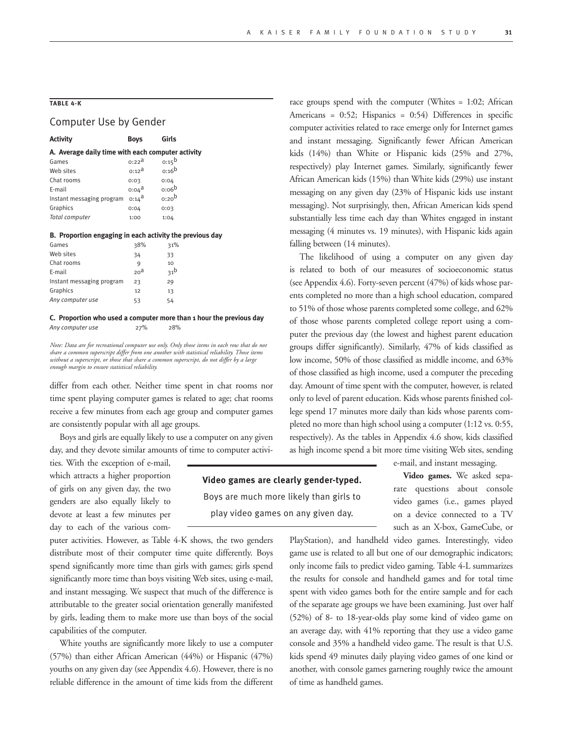# **TABLE 4-K**

# Computer Use by Gender

| <b>Activity</b>                                   | <b>Boys</b>           | Girls             |  |  |  |  |
|---------------------------------------------------|-----------------------|-------------------|--|--|--|--|
| A. Average daily time with each computer activity |                       |                   |  |  |  |  |
| Games                                             | $0:22^{\mathsf{d}}$   | $0:15^{\text{b}}$ |  |  |  |  |
| Web sites                                         | $0:12^{\overline{d}}$ | $0:16^{\text{b}}$ |  |  |  |  |
| Chat rooms                                        | 0:03                  | 0:04              |  |  |  |  |
| E-mail                                            | $0:04^{\text{d}}$     |                   |  |  |  |  |
| Instant messaging program                         | $0:14^{\text{d}}$     | 0:20 <sup>b</sup> |  |  |  |  |
| Graphics                                          | 0:04                  | 0:03              |  |  |  |  |
| Total computer                                    | 1:00                  | 1:04              |  |  |  |  |
|                                                   |                       | 0:06 <sup>b</sup> |  |  |  |  |

#### **B. Proportion engaging in each activity the previous day**

| Games                     | 38%             | 31%             |
|---------------------------|-----------------|-----------------|
| Web sites                 | 34              | 33              |
| Chat rooms                | 9               | 10              |
| E-mail                    | 20 <sup>a</sup> | 31 <sup>b</sup> |
| Instant messaging program | 23              | 29              |
| Graphics                  | 12              | 13              |
| Any computer use          | 53              | 54              |

#### **C. Proportion who used a computer more than 1 hour the previous day**  *Any computer use* 27% 28%

*Note: Data are for recreational computer use only. Only those items in each row that do not share a common superscript differ from one another with statistical reliability. Those items without a superscript, or those that share a common superscript, do not differ by a large enough margin to ensure statistical reliability.* 

differ from each other. Neither time spent in chat rooms nor time spent playing computer games is related to age; chat rooms receive a few minutes from each age group and computer games are consistently popular with all age groups.

Boys and girls are equally likely to use a computer on any given day, and they devote similar amounts of time to computer activi-

ties. With the exception of e-mail, which attracts a higher proportion of girls on any given day, the two genders are also equally likely to devote at least a few minutes per day to each of the various com-

puter activities. However, as Table 4-K shows, the two genders distribute most of their computer time quite differently. Boys spend significantly more time than girls with games; girls spend significantly more time than boys visiting Web sites, using e-mail, and instant messaging. We suspect that much of the difference is attributable to the greater social orientation generally manifested by girls, leading them to make more use than boys of the social capabilities of the computer.

White youths are significantly more likely to use a computer (57%) than either African American (44%) or Hispanic (47%) youths on any given day (see Appendix 4.6). However, there is no reliable difference in the amount of time kids from the different race groups spend with the computer (Whites = 1:02; African Americans = 0:52; Hispanics = 0:54) Differences in specific computer activities related to race emerge only for Internet games and instant messaging. Significantly fewer African American kids (14%) than White or Hispanic kids (25% and 27%, respectively) play Internet games. Similarly, significantly fewer African American kids (15%) than White kids (29%) use instant messaging on any given day (23% of Hispanic kids use instant messaging). Not surprisingly, then, African American kids spend substantially less time each day than Whites engaged in instant messaging (4 minutes vs. 19 minutes), with Hispanic kids again falling between (14 minutes).

The likelihood of using a computer on any given day is related to both of our measures of socioeconomic status (see Appendix 4.6). Forty-seven percent (47%) of kids whose parents completed no more than a high school education, compared to 51% of those whose parents completed some college, and 62% of those whose parents completed college report using a computer the previous day (the lowest and highest parent education groups differ significantly). Similarly, 47% of kids classified as low income, 50% of those classified as middle income, and 63% of those classified as high income, used a computer the preceding day. Amount of time spent with the computer, however, is related only to level of parent education. Kids whose parents finished college spend 17 minutes more daily than kids whose parents completed no more than high school using a computer (1:12 vs. 0:55, respectively). As the tables in Appendix 4.6 show, kids classified as high income spend a bit more time visiting Web sites, sending

e-mail, and instant messaging.

**Video games.** We asked separate questions about console video games (i.e., games played on a device connected to a TV such as an X-box, GameCube, or

PlayStation), and handheld video games. Interestingly, video game use is related to all but one of our demographic indicators; only income fails to predict video gaming. Table 4-L summarizes the results for console and handheld games and for total time spent with video games both for the entire sample and for each of the separate age groups we have been examining. Just over half (52%) of 8- to 18-year-olds play some kind of video game on an average day, with 41% reporting that they use a video game console and 35% a handheld video game. The result is that U.S. kids spend 49 minutes daily playing video games of one kind or another, with console games garnering roughly twice the amount of time as handheld games.

Boys are much more likely than girls to play video games on any given day.

**Video games are clearly gender-typed.**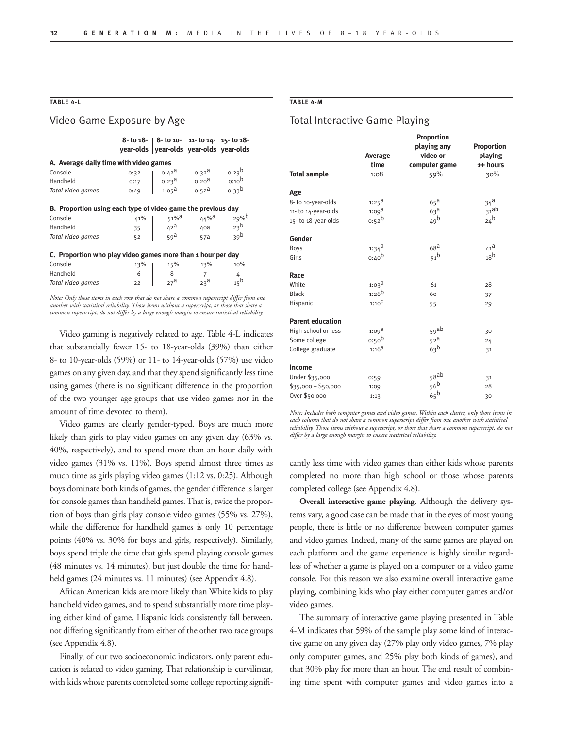# **TABLE 4-L**

# Video Game Exposure by Age

|                                                              |          | 8- to 18- 8- to 10- 11- to 14- 15- to 18-<br>year-olds year-olds year-olds year-olds |                     |                     |  |  |  |
|--------------------------------------------------------------|----------|--------------------------------------------------------------------------------------|---------------------|---------------------|--|--|--|
| A. Average daily time with video games                       |          |                                                                                      |                     |                     |  |  |  |
| Console                                                      | 0:32     | o:42 <sup>a</sup>                                                                    | $0:32^{\mathsf{d}}$ | $0:23^{b}$          |  |  |  |
| Handheld                                                     | 0:17     | $0:23^{\text{d}}$                                                                    | $_{0:20}$ a         | $0:10^{\mathrm{b}}$ |  |  |  |
| Total video games                                            | 0:49     | $1:05^{\text{a}}$                                                                    | $0:52^{\mathsf{a}}$ | $0.33^{b}$          |  |  |  |
| B. Proportion using each type of video game the previous day |          |                                                                                      |                     |                     |  |  |  |
| Console                                                      | 41%      | $51\%$ <sup>d</sup>                                                                  | $44\%$ <sup>a</sup> | 29%                 |  |  |  |
| Handheld                                                     | 35       | $42^{\text{a}}$                                                                      | 40a                 | 23 <sup>b</sup>     |  |  |  |
| Total video games                                            | 52       | 59a                                                                                  | 57a                 | 39 <sup>b</sup>     |  |  |  |
| C. Proportion who play video games more than 1 hour per day  |          |                                                                                      |                     |                     |  |  |  |
| Console                                                      | 13%      | 15%                                                                                  | 13%                 | 10%                 |  |  |  |
| Handheld                                                     | 6        | 8                                                                                    | $\overline{7}$      | 4                   |  |  |  |
| Total video games                                            | $22^{1}$ | 27 <sup>a</sup>                                                                      | $23^{\text{a}}$     | $15^{\text{b}}$     |  |  |  |

*Note: Only those items in each row that do not share a common superscript differ from one another with statistical reliability. Those items without a superscript, or those that share a common superscript, do not differ by a large enough margin to ensure statistical reliability.* 

Video gaming is negatively related to age. Table 4-L indicates that substantially fewer 15- to 18-year-olds (39%) than either 8- to 10-year-olds (59%) or 11- to 14-year-olds (57%) use video games on any given day, and that they spend significantly less time using games (there is no significant difference in the proportion of the two younger age-groups that use video games nor in the amount of time devoted to them).

Video games are clearly gender-typed. Boys are much more likely than girls to play video games on any given day  $(63\%$  vs. 40%, respectively), and to spend more than an hour daily with video games (31% vs. 11%). Boys spend almost three times as much time as girls playing video games (1:12 vs. 0:25). Although boys dominate both kinds of games, the gender difference is larger for console games than handheld games. That is, twice the proportion of boys than girls play console video games (55% vs. 27%), while the difference for handheld games is only 10 percentage points (40% vs. 30% for boys and girls, respectively). Similarly, boys spend triple the time that girls spend playing console games (48 minutes vs. 14 minutes), but just double the time for handheld games (24 minutes vs. 11 minutes) (see Appendix 4.8).

African American kids are more likely than White kids to play handheld video games, and to spend substantially more time playing either kind of game. Hispanic kids consistently fall between, not differing significantly from either of the other two race groups (see Appendix 4.8).

Finally, of our two socioeconomic indicators, only parent education is related to video gaming. That relationship is curvilinear, with kids whose parents completed some college reporting signifi-

#### **TABLE 4-M**

# Total Interactive Game Playing

|                         | <b>Proportion</b> |                 |                   |  |
|-------------------------|-------------------|-----------------|-------------------|--|
|                         |                   | playing any     | <b>Proportion</b> |  |
|                         | Average           | video or        | playing           |  |
|                         | time              | computer game   | 1+ hours          |  |
| <b>Total sample</b>     | 1:08              | 59%             | 30%               |  |
| Age                     |                   |                 |                   |  |
| 8- to 10-year-olds      | $1:25^{\text{d}}$ | $65^{\text{a}}$ | $34^{\mathrm{a}}$ |  |
| 11-to 14-year-olds      | 1:09 <sup>d</sup> | 63 <sup>d</sup> | 31ab              |  |
| 15-to 18-year-olds      | 0.52 <sup>b</sup> | 49 <sup>b</sup> | 24 <sup>b</sup>   |  |
| Gender                  |                   |                 |                   |  |
| Boys                    | $1:34^{\text{a}}$ | 68 <sup>d</sup> | $41^{\text{a}}$   |  |
| Girls                   | $0:40^{b}$        | 51 <sup>b</sup> | 18 <sup>b</sup>   |  |
| Race                    |                   |                 |                   |  |
| White                   | $1:03^{\text{d}}$ | 61              | 28                |  |
| <b>Black</b>            | $1:26^{b}$        | 60              | 37                |  |
| Hispanic                | 1:10 <sup>C</sup> | 55              | 29                |  |
| <b>Parent education</b> |                   |                 |                   |  |
| High school or less     | $1:09^{\text{d}}$ | 59ab            | 30                |  |
| Some college            | 0:50 <sup>b</sup> | 52 <sup>a</sup> | 24                |  |
| College graduate        | $1:16^{a}$        | 63 <sup>b</sup> | 31                |  |
| Income                  |                   |                 |                   |  |
| Under \$35,000          | 0:59              | 58ab            | 31                |  |
| $$35,000 - $50,000$     | 1:09              | 56 <sup>b</sup> | 28                |  |
| Over \$50,000           | 1:13              | 65 <sup>b</sup> | 30                |  |

*Note: Includes both computer games and video games. Within each cluster, only those items in each column that do not share a common superscript differ from one another with statistical reliability. Those items without a superscript, or those that share a common superscript, do not differ by a large enough margin to ensure statistical reliability.* 

cantly less time with video games than either kids whose parents completed no more than high school or those whose parents completed college (see Appendix 4.8).

**Overall interactive game playing.** Although the delivery systems vary, a good case can be made that in the eyes of most young people, there is little or no difference between computer games and video games. Indeed, many of the same games are played on each platform and the game experience is highly similar regardless of whether a game is played on a computer or a video game console. For this reason we also examine overall interactive game playing, combining kids who play either computer games and/or video games.

The summary of interactive game playing presented in Table 4-M indicates that 59% of the sample play some kind of interactive game on any given day (27% play only video games, 7% play only computer games, and 25% play both kinds of games), and that 30% play for more than an hour. The end result of combining time spent with computer games and video games into a